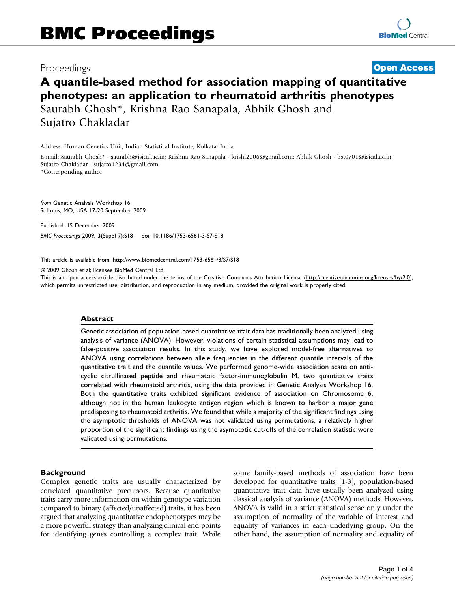## Proceedings

## **[Open Access](http://www.biomedcentral.com/info/about/charter/)**

# A quantile-based method for association mapping of quantitative phenotypes: an application to rheumatoid arthritis phenotypes Saurabh Ghosh\*, Krishna Rao Sanapala, Abhik Ghosh and Sujatro Chakladar

Address: Human Genetics Unit, Indian Statistical Institute, Kolkata, India

E-mail: Saurabh Ghosh\* - [saurabh@isical.ac.in](mailto:saurabh@isical.ac.in); Krishna Rao Sanapala - [krishi2006@gmail.com](mailto:krishi2006@gmail.com); Abhik Ghosh - [bst0701@isical.ac.in;](mailto:bst0701@isical.ac.in) Sujatro Chakladar - [sujatro1234@gmail.com](mailto:sujatro1234@gmail.com)

\*Corresponding author

from Genetic Analysis Workshop 16 St Louis, MO, USA 17-20 September 2009

Published: 15 December 2009 BMC Proceedings 2009, 3(Suppl 7):S18 doi: 10.1186/1753-6561-3-S7-S18

This article is available from: http://www.biomedcentral.com/1753-6561/3/S7/S18

© 2009 Ghosh et al; licensee BioMed Central Ltd.

This is an open access article distributed under the terms of the Creative Commons Attribution License [\(http://creativecommons.org/licenses/by/2.0\)](http://creativecommons.org/licenses/by/2.0), which permits unrestricted use, distribution, and reproduction in any medium, provided the original work is properly cited.

#### Abstract

Genetic association of population-based quantitative trait data has traditionally been analyzed using analysis of variance (ANOVA). However, violations of certain statistical assumptions may lead to false-positive association results. In this study, we have explored model-free alternatives to ANOVA using correlations between allele frequencies in the different quantile intervals of the quantitative trait and the quantile values. We performed genome-wide association scans on anticyclic citrullinated peptide and rheumatoid factor-immunoglobulin M, two quantitative traits correlated with rheumatoid arthritis, using the data provided in Genetic Analysis Workshop 16. Both the quantitative traits exhibited significant evidence of association on Chromosome 6, although not in the human leukocyte antigen region which is known to harbor a major gene predisposing to rheumatoid arthritis. We found that while a majority of the significant findings using the asymptotic thresholds of ANOVA was not validated using permutations, a relatively higher proportion of the significant findings using the asymptotic cut-offs of the correlation statistic were validated using permutations.

#### **Background**

Complex genetic traits are usually characterized by correlated quantitative precursors. Because quantitative traits carry more information on within-genotype variation compared to binary (affected/unaffected) traits, it has been argued that analyzing quantitative endophenotypes may be a more powerful strategy than analyzing clinical end-points for identifying genes controlling a complex trait. While

some family-based methods of association have been developed for quantitative traits [\[1-3](#page-3-0)], population-based quantitative trait data have usually been analyzed using classical analysis of variance (ANOVA) methods. However, ANOVA is valid in a strict statistical sense only under the assumption of normality of the variable of interest and equality of variances in each underlying group. On the other hand, the assumption of normality and equality of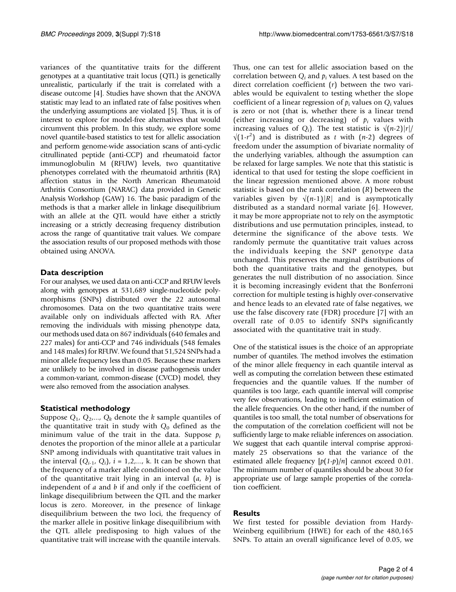variances of the quantitative traits for the different genotypes at a quantitative trait locus (QTL) is genetically unrealistic, particularly if the trait is correlated with a disease outcome [\[4\]](#page-3-0). Studies have shown that the ANOVA statistic may lead to an inflated rate of false positives when the underlying assumptions are violated [\[5](#page-3-0)]. Thus, it is of interest to explore for model-free alternatives that would circumvent this problem. In this study, we explore some novel quantile-based statistics to test for allelic association and perform genome-wide association scans of anti-cyclic citrullinated peptide (anti-CCP) and rheumatoid factor immunoglobulin M (RFUW) levels, two quantitative phenotypes correlated with the rheumatoid arthritis (RA) affection status in the North American Rheumatoid Arthritis Consortium (NARAC) data provided in Genetic Analysis Workshop (GAW) 16. The basic paradigm of the methods is that a marker allele in linkage disequilibrium with an allele at the QTL would have either a strictly increasing or a strictly decreasing frequency distribution across the range of quantitative trait values. We compare the association results of our proposed methods with those obtained using ANOVA.

### Data description

For our analyses, we used data on anti-CCP and RFUW levels along with genotypes at 531,689 single-nucleotide polymorphisms (SNPs) distributed over the 22 autosomal chromosomes. Data on the two quantitative traits were available only on individuals affected with RA. After removing the individuals with missing phenotype data, our methods used data on 867 individuals (640 females and 227 males) for anti-CCP and 746 individuals (548 females and 148 males) for RFUW. We found that 51,524 SNPs had a minor allele frequency less than 0.05. Because these markers are unlikely to be involved in disease pathogenesis under a common-variant, common-disease (CVCD) model, they were also removed from the association analyses.

### Statistical methodology

Suppose  $Q_1$ ,  $Q_2$ ,...,  $Q_k$  denote the k sample quantiles of the quantitative trait in study with  $Q_0$  defined as the minimum value of the trait in the data. Suppose  $p_i$ denotes the proportion of the minor allele at a particular SNP among individuals with quantitative trait values in the interval  $(Q_{i-1}, Q_i)$ ,  $i = 1, 2, \dots$ , k. It can be shown that the frequency of a marker allele conditioned on the value of the quantitative trait lying in an interval  $(a, b)$  is independent of  $a$  and  $b$  if and only if the coefficient of linkage disequilibrium between the QTL and the marker locus is zero. Moreover, in the presence of linkage disequilibrium between the two loci, the frequency of the marker allele in positive linkage disequilibrium with the QTL allele predisposing to high values of the quantitative trait will increase with the quantile intervals.

Thus, one can test for allelic association based on the correlation between  $Q_i$  and  $p_i$  values. A test based on the direct correlation coefficient  $(r)$  between the two variables would be equivalent to testing whether the slope coefficient of a linear regression of  $p_i$  values on  $Q_i$  values is zero or not (that is, whether there is a linear trend (either increasing or decreasing) of  $p_i$  values with increasing values of  $Q_i$ ). The test statistic is  $\sqrt{(n-2)}|r|/$  $\sqrt{(1-r^2)}$  and is distributed as t with  $(n-2)$  degrees of freedom under the assumption of bivariate normality of the underlying variables, although the assumption can be relaxed for large samples. We note that this statistic is identical to that used for testing the slope coefficient in the linear regression mentioned above. A more robust statistic is based on the rank correlation  $(R)$  between the variables given by  $\sqrt{(n-1)}|R|$  and is asymptotically distributed as a standard normal variate [[6\]](#page-3-0). However, it may be more appropriate not to rely on the asymptotic distributions and use permutation principles, instead, to determine the significance of the above tests. We randomly permute the quantitative trait values across the individuals keeping the SNP genotype data unchanged. This preserves the marginal distributions of both the quantitative traits and the genotypes, but generates the null distribution of no association. Since it is becoming increasingly evident that the Bonferroni correction for multiple testing is highly over-conservative and hence leads to an elevated rate of false negatives, we use the false discovery rate (FDR) procedure [[7](#page-3-0)] with an overall rate of 0.05 to identify SNPs significantly associated with the quantitative trait in study.

One of the statistical issues is the choice of an appropriate number of quantiles. The method involves the estimation of the minor allele frequency in each quantile interval as well as computing the correlation between these estimated frequencies and the quantile values. If the number of quantiles is too large, each quantile interval will comprise very few observations, leading to inefficient estimation of the allele frequencies. On the other hand, if the number of quantiles is too small, the total number of observations for the computation of the correlation coefficient will not be sufficiently large to make reliable inferences on association. We suggest that each quantile interval comprise approximately 25 observations so that the variance of the estimated allele frequency  $[p(1-p)/n]$  cannot exceed 0.01. The minimum number of quantiles should be about 30 for appropriate use of large sample properties of the correlation coefficient.

### **Results**

We first tested for possible deviation from Hardy-Weinberg equilibrium (HWE) for each of the 480,165 SNPs. To attain an overall significance level of 0.05, we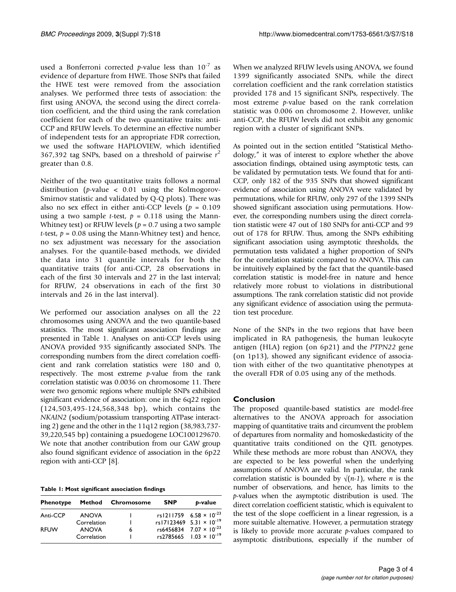used a Bonferroni corrected p-value less than  $10^{-7}$  as evidence of departure from HWE. Those SNPs that failed the HWE test were removed from the association analyses. We performed three tests of association: the first using ANOVA, the second using the direct correlation coefficient, and the third using the rank correlation coefficient for each of the two quantitative traits: anti-CCP and RFUW levels. To determine an effective number of independent tests for an appropriate FDR correction, we used the software HAPLOVIEW, which identified 367,392 tag SNPs, based on a threshold of pairwise  $r^2$ greater than 0.8.

Neither of the two quantitative traits follows a normal distribution (p-value < 0.01 using the Kolmogorov-Smirnov statistic and validated by Q-Q plots). There was also no sex effect in either anti-CCP levels ( $p = 0.109$ ) using a two sample *t*-test,  $p = 0.118$  using the Mann-Whitney test) or RFUW levels ( $p = 0.7$  using a two sample t-test,  $p = 0.08$  using the Mann-Whitney test) and hence, no sex adjustment was necessary for the association analyses. For the quantile-based methods, we divided the data into 31 quantile intervals for both the quantitative traits (for anti-CCP, 28 observations in each of the first 30 intervals and 27 in the last interval; for RFUW, 24 observations in each of the first 30 intervals and 26 in the last interval).

We performed our association analyses on all the 22 chromosomes using ANOVA and the two quantile-based statistics. The most significant association findings are presented in Table 1. Analyses on anti-CCP levels using ANOVA provided 935 significantly associated SNPs. The corresponding numbers from the direct correlation coefficient and rank correlation statistics were 180 and 0, respectively. The most extreme p-value from the rank correlation statistic was 0.0036 on chromosome 11. There were two genomic regions where multiple SNPs exhibited significant evidence of association: one in the 6q22 region (124,503,495-124,568,348 bp), which contains the NKAIN2 (sodium/potassium transporting ATPase interacting 2) gene and the other in the 11q12 region (38,983,737- 39,220,545 bp) containing a psuedogene LOC100129670. We note that another contribution from our GAW group also found significant evidence of association in the 6p22 region with anti-CCP [[8\]](#page-3-0).

Table 1: Most significant association findings

| <b>Phenotype</b> |              | Method Chromosome | <b>SNP</b> | b-value                                     |
|------------------|--------------|-------------------|------------|---------------------------------------------|
| Anti-CCP         | <b>ANOVA</b> |                   |            | rs1211759 $6.58 \times 10^{-23}$            |
|                  | Correlation  |                   |            | rs17123469 $5.31 \times 10^{-19}$           |
| <b>RFUW</b>      | <b>ANOVA</b> | 6                 |            | rs6456834 7.07 $\times$ 10 <sup>-23</sup>   |
|                  | Correlation  |                   |            | $rs2785665$ 1.03 $\times$ 10 <sup>-19</sup> |

When we analyzed RFUW levels using ANOVA, we found 1399 significantly associated SNPs, while the direct correlation coefficient and the rank correlation statistics provided 178 and 15 significant SNPs, respectively. The most extreme p-value based on the rank correlation statistic was 0.006 on chromosome 2. However, unlike anti-CCP, the RFUW levels did not exhibit any genomic region with a cluster of significant SNPs.

As pointed out in the section entitled "Statistical Methodology," it was of interest to explore whether the above association findings, obtained using asymptotic tests, can be validated by permutation tests. We found that for anti-CCP, only 182 of the 935 SNPs that showed significant evidence of association using ANOVA were validated by permutations, while for RFUW, only 297 of the 1399 SNPs showed significant association using permutations. However, the corresponding numbers using the direct correlation statistic were 47 out of 180 SNPs for anti-CCP and 99 out of 178 for RFUW. Thus, among the SNPs exhibiting significant association using asymptotic thresholds, the permutation tests validated a higher proportion of SNPs for the correlation statistic compared to ANOVA. This can be intuitively explained by the fact that the quantile-based correlation statistic is model-free in nature and hence relatively more robust to violations in distributional assumptions. The rank correlation statistic did not provide any significant evidence of association using the permutation test procedure.

None of the SNPs in the two regions that have been implicated in RA pathogenesis, the human leukocyte antigen (HLA) region (on 6p21) and the PTPN22 gene (on 1p13), showed any significant evidence of association with either of the two quantitative phenotypes at the overall FDR of 0.05 using any of the methods.

### Conclusion

The proposed quantile-based statistics are model-free alternatives to the ANOVA approach for association mapping of quantitative traits and circumvent the problem of departures from normality and homoskedasticity of the quantitative traits conditioned on the QTL genotypes. While these methods are more robust than ANOVA, they are expected to be less powerful when the underlying assumptions of ANOVA are valid. In particular, the rank correlation statistic is bounded by  $\sqrt{(n-1)}$ , where *n* is the number of observations, and hence, has limits to the p-values when the asymptotic distribution is used. The direct correlation coefficient statistic, which is equivalent to the test of the slope coefficient in a linear regression, is a more suitable alternative. However, a permutation strategy is likely to provide more accurate  $p$ -values compared to asymptotic distributions, especially if the number of